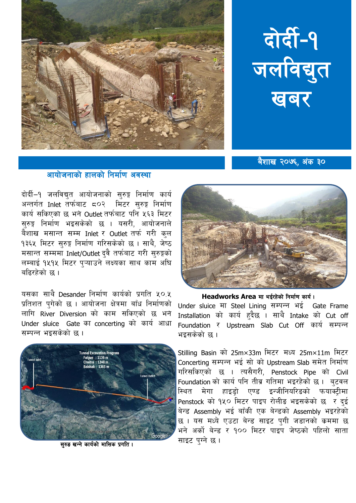

## दोर्दी-१ जलविद्युत खबर

बैशाख २०७६, अंक ३०

## आयोजनाको हालको निर्माण अवस्था

दोर्दी–१ जलविद्युत आयोजनाको सुरुङ्ग निर्माण कार्य अन्तर्गत Inlet तर्फबाट ८०२ मिटर सुरुङ्ग निर्माण कार्य सकिएको छ भने Outlet तर्फबाट पनि ५६३ मिटर सरुङ्ग निर्माण भइसकेको छ । यसरी, आयोजनाले बैशाख मसान्त सम्म Inlet र Outlet तर्फ गरी कल १३६५ मिटर सुरुङ्ग निर्माण गरिसकेको छ । साथै, जेष्ठ मसान्त सम्ममा Inlet/Outlet दुवै तर्फबाट गरी सुरुङ्गको लम्बाई १५१५ मिटर प्ऱ्याउने लक्ष्यका साथ काम अघि बहिरहेको छ।

यसका साथै Desander निर्माण कार्यको प्रगति ४०.४ प्रतिशत पगेको छ । आयोजना क्षेत्रमा बाँध निर्माणको लागि River Diversion को काम सकिएको छ भने Under sluice Gate का concerting को कार्य आधा सम्पन्न भइसकेको छ ।



सरुड खन्ने कार्यको मासिक प्रगति ।



Headworks Area मा भईरहेको निर्माण कार्य।

Under sluice मा Steel Lining सम्पन्न भई Gate Frame Installation को कार्य हुदैछ । साथै Intake को Cut off Foundation र Upstream Slab Cut Off कार्य सम्पन्न भइसकेको छ ।

Stilling Basin को 25m×33m मिटर मध्य 25m×11m मिटर Concerting सम्पन्न भई सो को Upstream Slab समेत निर्माण गरिसकिएको छ । त्यसैगरी, Penstock Pipe को Civil Foundation को कार्य पनि तीव्र गतिमा भइरहेको छ। बटवल .<br>स्थित मेगा हाइडो एण्ड इन्जीनियरिङको फयाक्टीमा Penstock को १५० मिटर पाइप रोलीड भइसकेको छ र<sup>े</sup>दई बेन्ड Assembly भई बाँकी एक बेन्डको Assembly भइरहेको छ । यस मध्ये एउटा बेन्ड साइट पुगी जडानको क्रममा छ भने अर्को बेन्ड र १०० मिटर पाइप जेष्ठको पहिलो साता साइट पग्ने छ।